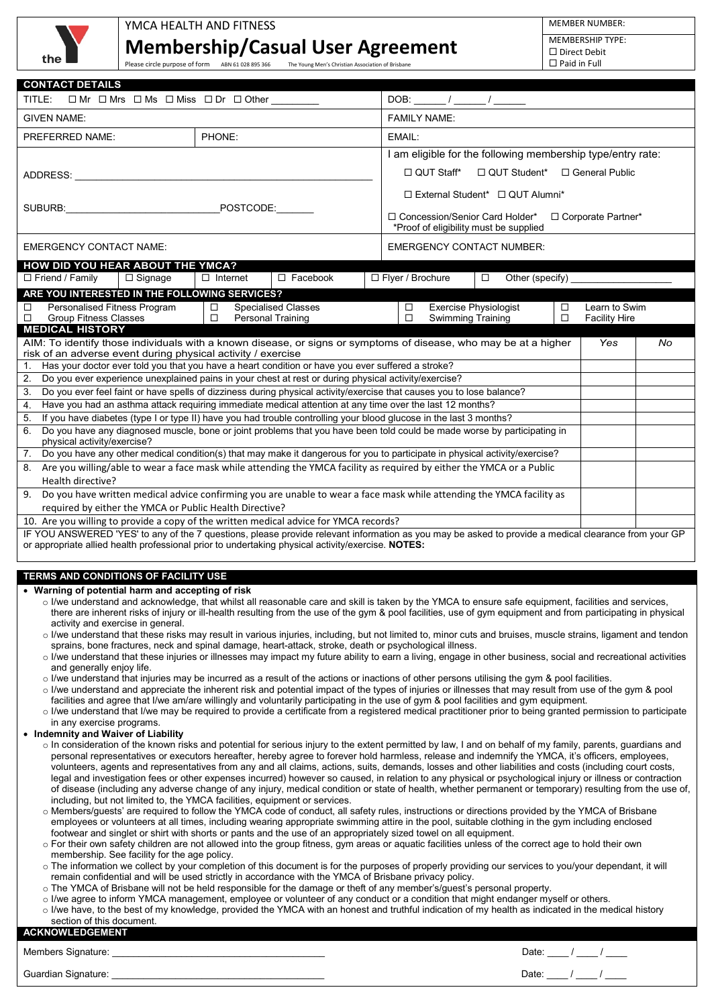

## YMCA HEALTH AND FITNESS **Membership/Casual User Agreement**

MEMBER NUMBER:

MEMBERSHIP TYPE:  $\Box$  Direct Debit Paid in Full

| <b>CONTACT DETAILS</b>                                                                                                                                                                                                                                                                                                |                  |                                                                                                    |  |                                                             |                                             |                  |                                       |    |  |
|-----------------------------------------------------------------------------------------------------------------------------------------------------------------------------------------------------------------------------------------------------------------------------------------------------------------------|------------------|----------------------------------------------------------------------------------------------------|--|-------------------------------------------------------------|---------------------------------------------|------------------|---------------------------------------|----|--|
| TITLE:<br>$\Box$ Mr $\Box$ Mrs $\Box$ Ms $\Box$ Miss $\Box$ Dr $\Box$ Other                                                                                                                                                                                                                                           |                  |                                                                                                    |  |                                                             |                                             |                  |                                       |    |  |
| <b>GIVEN NAME:</b>                                                                                                                                                                                                                                                                                                    |                  |                                                                                                    |  | <b>FAMILY NAME:</b>                                         |                                             |                  |                                       |    |  |
| PREFERRED NAME:                                                                                                                                                                                                                                                                                                       | PHONE:           |                                                                                                    |  | EMAIL:                                                      |                                             |                  |                                       |    |  |
|                                                                                                                                                                                                                                                                                                                       |                  |                                                                                                    |  | I am eligible for the following membership type/entry rate: |                                             |                  |                                       |    |  |
| ADDRESS:                                                                                                                                                                                                                                                                                                              |                  |                                                                                                    |  | $\Box$ QUT Staff*                                           | □ QUT Student* □ General Public             |                  |                                       |    |  |
|                                                                                                                                                                                                                                                                                                                       |                  |                                                                                                    |  |                                                             | $\Box$ External Student* $\Box$ QUT Alumni* |                  |                                       |    |  |
|                                                                                                                                                                                                                                                                                                                       |                  | POSTCODE:                                                                                          |  |                                                             |                                             |                  |                                       |    |  |
|                                                                                                                                                                                                                                                                                                                       |                  | □ Concession/Senior Card Holder*<br>□ Corporate Partner*<br>*Proof of eligibility must be supplied |  |                                                             |                                             |                  |                                       |    |  |
| <b>EMERGENCY CONTACT NAME:</b>                                                                                                                                                                                                                                                                                        |                  |                                                                                                    |  | <b>EMERGENCY CONTACT NUMBER:</b>                            |                                             |                  |                                       |    |  |
| HOW DID YOU HEAR ABOUT THE YMCA?                                                                                                                                                                                                                                                                                      |                  |                                                                                                    |  |                                                             |                                             |                  |                                       |    |  |
| □ Friend / Family<br>$\Box$ Signage                                                                                                                                                                                                                                                                                   | $\Box$ Internet  | $\Box$ Facebook                                                                                    |  | □ Flyer / Brochure                                          | Other (specify)<br>$\Box$                   |                  |                                       |    |  |
| ARE YOU INTERESTED IN THE FOLLOWING SERVICES?                                                                                                                                                                                                                                                                         |                  |                                                                                                    |  |                                                             |                                             |                  |                                       |    |  |
| Personalised Fitness Program<br>□<br><b>Group Fitness Classes</b><br>□                                                                                                                                                                                                                                                | $\Box$<br>$\Box$ | <b>Specialised Classes</b><br><b>Personal Training</b>                                             |  | □<br><b>Swimming Training</b><br>□                          | <b>Exercise Physiologist</b>                | $\Box$<br>$\Box$ | Learn to Swim<br><b>Facility Hire</b> |    |  |
| <b>MEDICAL HISTORY</b>                                                                                                                                                                                                                                                                                                |                  |                                                                                                    |  |                                                             |                                             |                  |                                       |    |  |
| AIM: To identify those individuals with a known disease, or signs or symptoms of disease, who may be at a higher                                                                                                                                                                                                      |                  |                                                                                                    |  |                                                             |                                             |                  | Yes                                   | No |  |
| risk of an adverse event during physical activity / exercise<br>Has your doctor ever told you that you have a heart condition or have you ever suffered a stroke?<br>1.                                                                                                                                               |                  |                                                                                                    |  |                                                             |                                             |                  |                                       |    |  |
| 2.<br>Do you ever experience unexplained pains in your chest at rest or during physical activity/exercise?                                                                                                                                                                                                            |                  |                                                                                                    |  |                                                             |                                             |                  |                                       |    |  |
| Do you ever feel faint or have spells of dizziness during physical activity/exercise that causes you to lose balance?<br>3.                                                                                                                                                                                           |                  |                                                                                                    |  |                                                             |                                             |                  |                                       |    |  |
| Have you had an asthma attack requiring immediate medical attention at any time over the last 12 months?<br>4.<br>5.<br>If you have diabetes (type I or type II) have you had trouble controlling your blood glucose in the last 3 months?                                                                            |                  |                                                                                                    |  |                                                             |                                             |                  |                                       |    |  |
| Do you have any diagnosed muscle, bone or joint problems that you have been told could be made worse by participating in<br>6.                                                                                                                                                                                        |                  |                                                                                                    |  |                                                             |                                             |                  |                                       |    |  |
| physical activity/exercise?                                                                                                                                                                                                                                                                                           |                  |                                                                                                    |  |                                                             |                                             |                  |                                       |    |  |
| Do you have any other medical condition(s) that may make it dangerous for you to participate in physical activity/exercise?<br>7.<br>Are you willing/able to wear a face mask while attending the YMCA facility as required by either the YMCA or a Public                                                            |                  |                                                                                                    |  |                                                             |                                             |                  |                                       |    |  |
| 8.<br>Health directive?                                                                                                                                                                                                                                                                                               |                  |                                                                                                    |  |                                                             |                                             |                  |                                       |    |  |
| Do you have written medical advice confirming you are unable to wear a face mask while attending the YMCA facility as<br>9.                                                                                                                                                                                           |                  |                                                                                                    |  |                                                             |                                             |                  |                                       |    |  |
| required by either the YMCA or Public Health Directive?                                                                                                                                                                                                                                                               |                  |                                                                                                    |  |                                                             |                                             |                  |                                       |    |  |
| 10. Are you willing to provide a copy of the written medical advice for YMCA records?<br>IF YOU ANSWERED 'YES' to any of the 7 questions, please provide relevant information as you may be asked to provide a medical clearance from your GP                                                                         |                  |                                                                                                    |  |                                                             |                                             |                  |                                       |    |  |
| or appropriate allied health professional prior to undertaking physical activity/exercise. NOTES:                                                                                                                                                                                                                     |                  |                                                                                                    |  |                                                             |                                             |                  |                                       |    |  |
|                                                                                                                                                                                                                                                                                                                       |                  |                                                                                                    |  |                                                             |                                             |                  |                                       |    |  |
| TERMS AND CONDITIONS OF FACILITY USE                                                                                                                                                                                                                                                                                  |                  |                                                                                                    |  |                                                             |                                             |                  |                                       |    |  |
| • Warning of potential harm and accepting of risk<br>o I/we understand and acknowledge, that whilst all reasonable care and skill is taken by the YMCA to ensure safe equipment, facilities and services,                                                                                                             |                  |                                                                                                    |  |                                                             |                                             |                  |                                       |    |  |
| there are inherent risks of injury or ill-health resulting from the use of the gym & pool facilities, use of gym equipment and from participating in physical                                                                                                                                                         |                  |                                                                                                    |  |                                                             |                                             |                  |                                       |    |  |
| activity and exercise in general.                                                                                                                                                                                                                                                                                     |                  |                                                                                                    |  |                                                             |                                             |                  |                                       |    |  |
| o I/we understand that these risks may result in various injuries, including, but not limited to, minor cuts and bruises, muscle strains, ligament and tendon<br>sprains, bone fractures, neck and spinal damage, heart-attack, stroke, death or psychological illness.                                               |                  |                                                                                                    |  |                                                             |                                             |                  |                                       |    |  |
| o I/we understand that these injuries or illnesses may impact my future ability to earn a living, engage in other business, social and recreational activities                                                                                                                                                        |                  |                                                                                                    |  |                                                             |                                             |                  |                                       |    |  |
| and generally enjoy life.<br>o I/we understand that injuries may be incurred as a result of the actions or inactions of other persons utilising the gym & pool facilities.                                                                                                                                            |                  |                                                                                                    |  |                                                             |                                             |                  |                                       |    |  |
| o I/we understand and appreciate the inherent risk and potential impact of the types of injuries or illnesses that may result from use of the gym & pool                                                                                                                                                              |                  |                                                                                                    |  |                                                             |                                             |                  |                                       |    |  |
| facilities and agree that I/we am/are willingly and voluntarily participating in the use of gym & pool facilities and gym equipment.<br>o I/we understand that I/we may be required to provide a certificate from a registered medical practitioner prior to being granted permission to participate                  |                  |                                                                                                    |  |                                                             |                                             |                  |                                       |    |  |
| in any exercise programs.                                                                                                                                                                                                                                                                                             |                  |                                                                                                    |  |                                                             |                                             |                  |                                       |    |  |
| • Indemnity and Waiver of Liability<br>o In consideration of the known risks and potential for serious injury to the extent permitted by law, I and on behalf of my family, parents, guardians and                                                                                                                    |                  |                                                                                                    |  |                                                             |                                             |                  |                                       |    |  |
| personal representatives or executors hereafter, hereby agree to forever hold harmless, release and indemnify the YMCA, it's officers, employees,                                                                                                                                                                     |                  |                                                                                                    |  |                                                             |                                             |                  |                                       |    |  |
| volunteers, agents and representatives from any and all claims, actions, suits, demands, losses and other liabilities and costs (including court costs,                                                                                                                                                               |                  |                                                                                                    |  |                                                             |                                             |                  |                                       |    |  |
| legal and investigation fees or other expenses incurred) however so caused, in relation to any physical or psychological injury or illness or contraction<br>of disease (including any adverse change of any injury, medical condition or state of health, whether permanent or temporary) resulting from the use of, |                  |                                                                                                    |  |                                                             |                                             |                  |                                       |    |  |
| including, but not limited to, the YMCA facilities, equipment or services.<br>o Members/guests' are required to follow the YMCA code of conduct, all safety rules, instructions or directions provided by the YMCA of Brisbane                                                                                        |                  |                                                                                                    |  |                                                             |                                             |                  |                                       |    |  |
| employees or volunteers at all times, including wearing appropriate swimming attire in the pool, suitable clothing in the gym including enclosed                                                                                                                                                                      |                  |                                                                                                    |  |                                                             |                                             |                  |                                       |    |  |
| footwear and singlet or shirt with shorts or pants and the use of an appropriately sized towel on all equipment.<br>○ For their own safety children are not allowed into the group fitness, gym areas or aquatic facilities unless of the correct age to hold their own                                               |                  |                                                                                                    |  |                                                             |                                             |                  |                                       |    |  |
| membership. See facility for the age policy.                                                                                                                                                                                                                                                                          |                  |                                                                                                    |  |                                                             |                                             |                  |                                       |    |  |
| o The information we collect by your completion of this document is for the purposes of properly providing our services to you/your dependant, it will<br>remain confidential and will be used strictly in accordance with the YMCA of Brisbane privacy policy.                                                       |                  |                                                                                                    |  |                                                             |                                             |                  |                                       |    |  |
| o The YMCA of Brisbane will not be held responsible for the damage or theft of any member's/guest's personal property.                                                                                                                                                                                                |                  |                                                                                                    |  |                                                             |                                             |                  |                                       |    |  |
| o I/we agree to inform YMCA management, employee or volunteer of any conduct or a condition that might endanger myself or others.<br>o I/we have, to the best of my knowledge, provided the YMCA with an honest and truthful indication of my health as indicated in the medical history                              |                  |                                                                                                    |  |                                                             |                                             |                  |                                       |    |  |
| section of this document.                                                                                                                                                                                                                                                                                             |                  |                                                                                                    |  |                                                             |                                             |                  |                                       |    |  |
| <b>ACKNOWLEDGEMENT</b>                                                                                                                                                                                                                                                                                                |                  |                                                                                                    |  |                                                             |                                             |                  |                                       |    |  |
| Members Signature: example and the state of the state of the state of the state of the state of the state of the state of the state of the state of the state of the state of the state of the state of the state of the state                                                                                        |                  |                                                                                                    |  |                                                             |                                             |                  | Date: $\frac{1}{\sqrt{2}}$            |    |  |
| Guardian Signature:                                                                                                                                                                                                                                                                                                   |                  |                                                                                                    |  |                                                             | Date:                                       |                  |                                       |    |  |